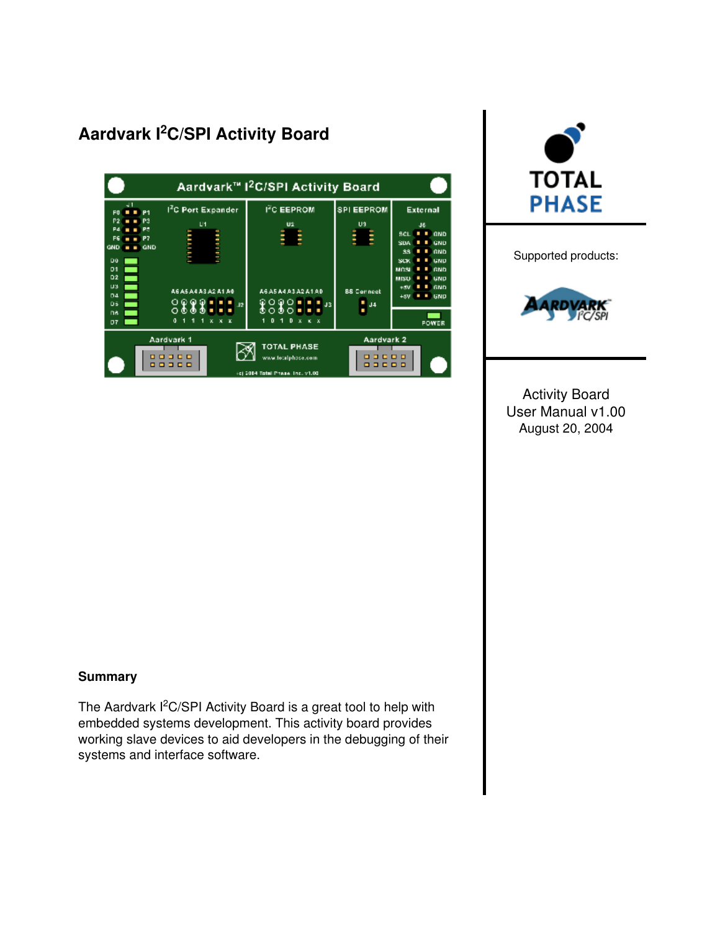## Aardvark I<sup>2</sup>C/SPI Activity Board





Supported products:



Activity Board User Manual v1.00 August 20, 2004

#### **Summary**

The Aardvark I<sup>2</sup>C/SPI Activity Board is a great tool to help with embedded systems development. This activity board provides working slave devices to aid developers in the debugging of their systems and interface software.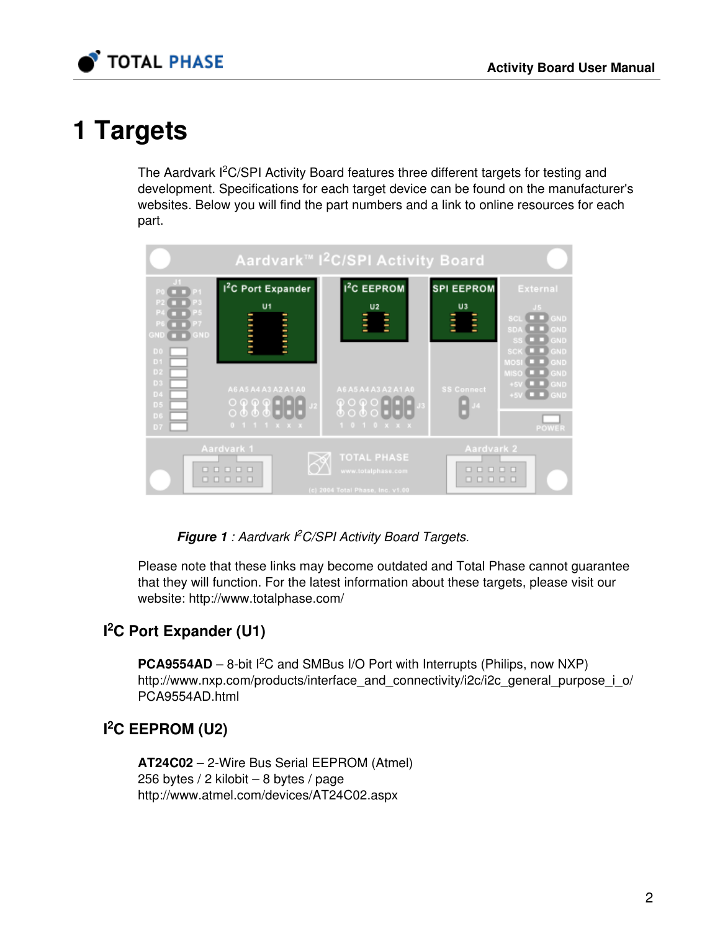

# 1 Targets

The Aardvark I<sup>2</sup>C/SPI Activity Board features three different targets for testing and development. Specifications for each target device can be found on the manufacturer's websites. Below you will find the part numbers and a link to online resources for each part.



Figure 1 : Aardvark PC/SPI Activity Board Targets.

Please note that these links may become outdated and Total Phase cannot guarantee that they will function. For the latest information about these targets, please visit our website: <http://www.totalphase.com/>

## I<sup>2</sup>C Port Expander (U1)

**PCA9554AD** – 8-bit  ${}^{12}C$  and SMBus I/O Port with Interrupts (Philips, now NXP) [http://www.nxp.com/products/interface\\_and\\_connectivity/i2c/i2c\\_general\\_purpose\\_i\\_o/](http://www.nxp.com/products/interface_and_connectivity/i2c/i2c_general_purpose_i_o/PCA9554AD.html) [PCA9554AD.html](http://www.nxp.com/products/interface_and_connectivity/i2c/i2c_general_purpose_i_o/PCA9554AD.html)

## $l^2C$  EEPROM (U2)

AT24C02 – 2-Wire Bus Serial EEPROM (Atmel) 256 bytes / 2 kilobit – 8 bytes / page <http://www.atmel.com/devices/AT24C02.aspx>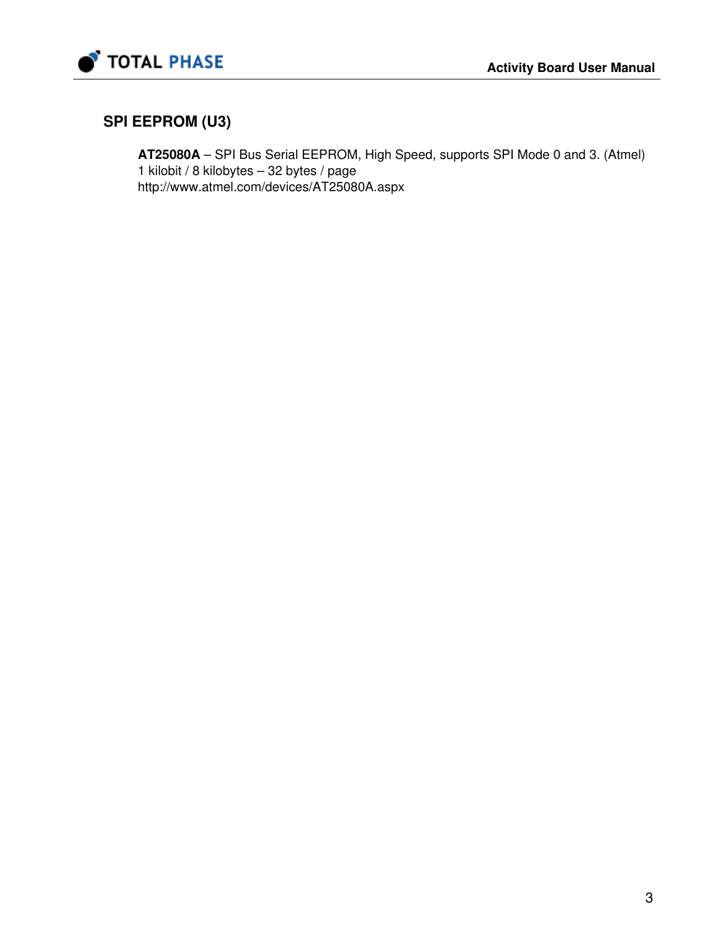

### SPI EEPROM (U3)

AT25080A – SPI Bus Serial EEPROM, High Speed, supports SPI Mode 0 and 3. (Atmel) 1 kilobit / 8 kilobytes – 32 bytes / page <http://www.atmel.com/devices/AT25080A.aspx>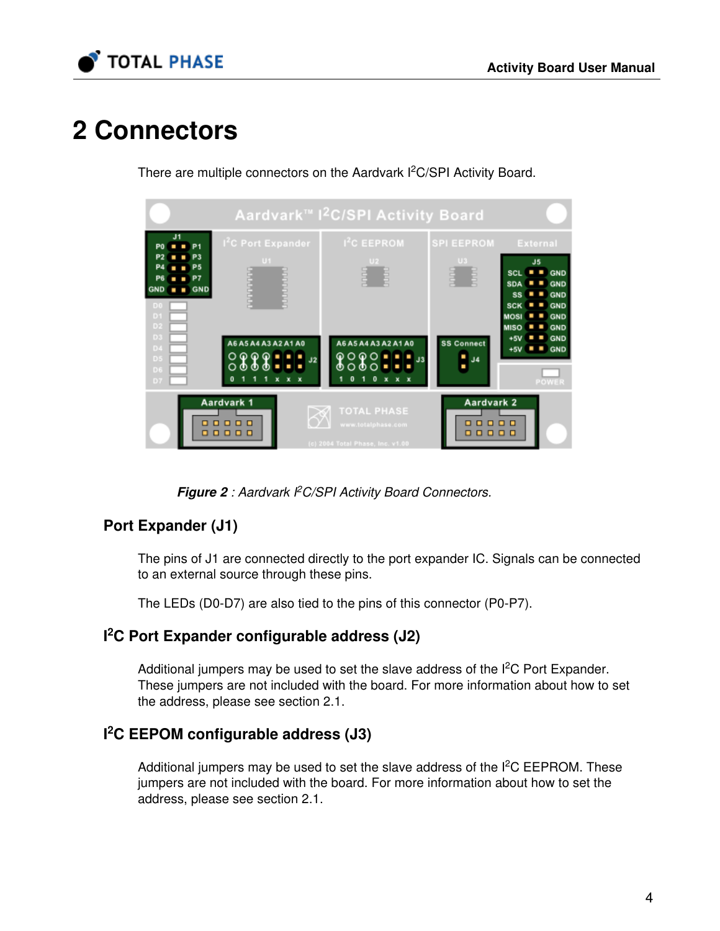

# 2 Connectors

There are multiple connectors on the Aardvark I<sup>2</sup>C/SPI Activity Board.



Figure 2 : Aardvark I<sup>2</sup>C/SPI Activity Board Connectors.

### Port Expander (J1)

The pins of J1 are connected directly to the port expander IC. Signals can be connected to an external source through these pins.

The LEDs (D0-D7) are also tied to the pins of this connector (P0-P7).

### I<sup>2</sup>C Port Expander configurable address (J2)

Additional jumpers may be used to set the slave address of the  $l^2C$  Port Expander. These jumpers are not included with the board. For more information about how to set the address, please see section [2.1](#page-5-0).

### I<sup>2</sup>C EEPOM configurable address (J3)

Additional jumpers may be used to set the slave address of the  $I<sup>2</sup>C$  EEPROM. These jumpers are not included with the board. For more information about how to set the address, please see section [2.1](#page-5-0).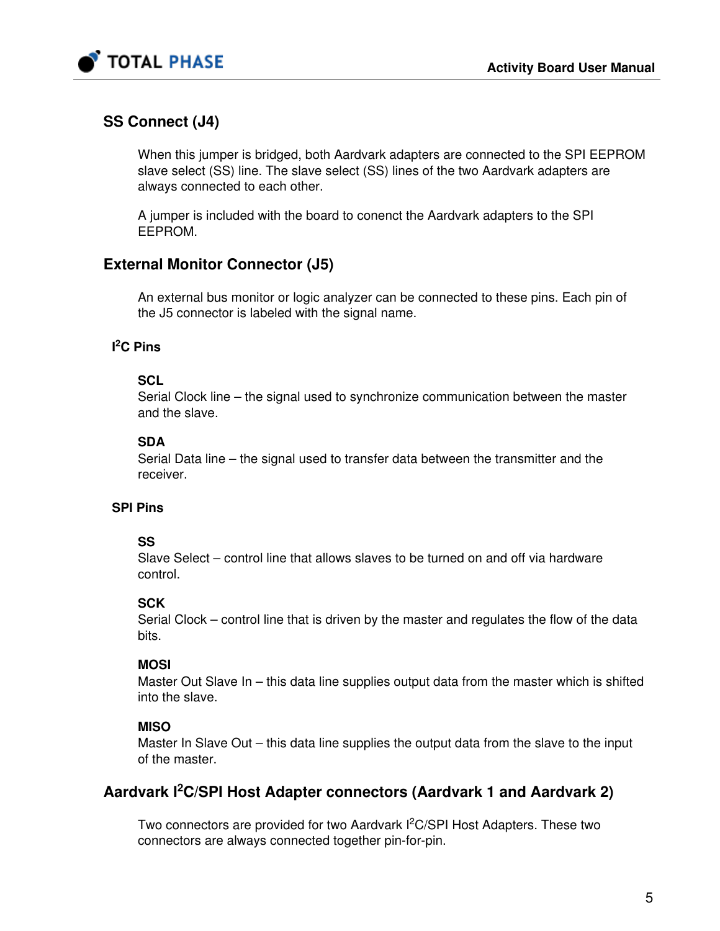

### SS Connect (J4)

When this jumper is bridged, both Aardvark adapters are connected to the SPI EEPROM slave select (SS) line. The slave select (SS) lines of the two Aardvark adapters are always connected to each other.

A jumper is included with the board to conenct the Aardvark adapters to the SPI EEPROM.

### External Monitor Connector (J5)

An external bus monitor or logic analyzer can be connected to these pins. Each pin of the J5 connector is labeled with the signal name.

#### l ${}^{2}C$  Pins

#### **SCL**

Serial Clock line – the signal used to synchronize communication between the master and the slave.

#### **SDA**

Serial Data line – the signal used to transfer data between the transmitter and the receiver.

#### SPI Pins

#### SS

Slave Select – control line that allows slaves to be turned on and off via hardware control.

#### **SCK**

Serial Clock – control line that is driven by the master and regulates the flow of the data bits.

#### **MOSI**

Master Out Slave In – this data line supplies output data from the master which is shifted into the slave.

#### **MISO**

Master In Slave Out – this data line supplies the output data from the slave to the input of the master.

### Aardvark I<sup>2</sup>C/SPI Host Adapter connectors (Aardvark 1 and Aardvark 2)

Two connectors are provided for two Aardvark I<sup>2</sup>C/SPI Host Adapters. These two connectors are always connected together pin-for-pin.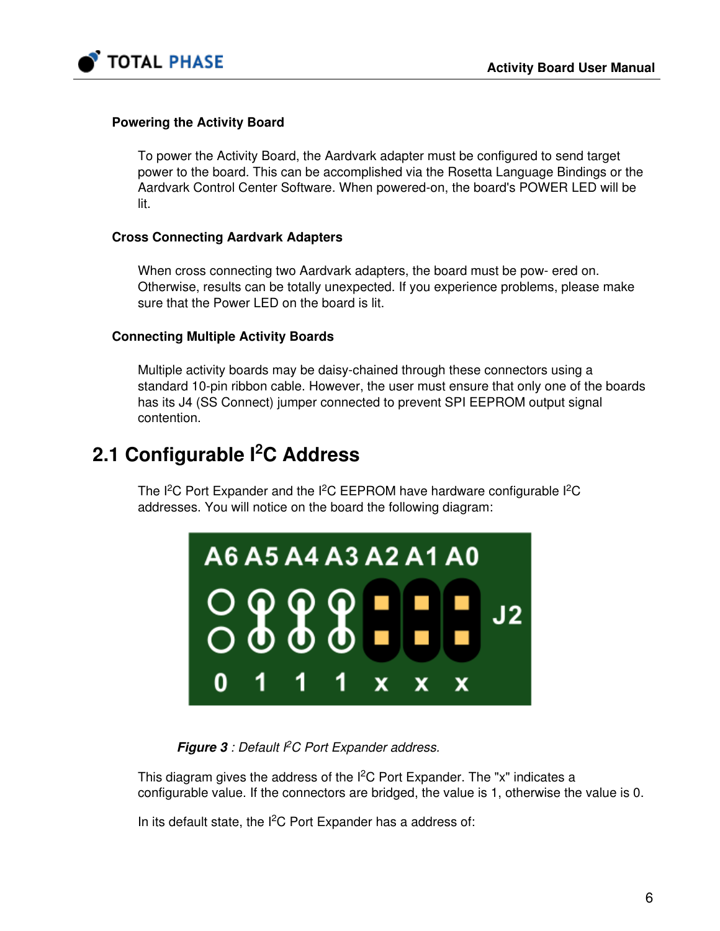

#### Powering the Activity Board

To power the Activity Board, the Aardvark adapter must be configured to send target power to the board. This can be accomplished via the Rosetta Language Bindings or the Aardvark Control Center Software. When powered-on, the board's POWER LED will be lit.

#### Cross Connecting Aardvark Adapters

When cross connecting two Aardvark adapters, the board must be pow- ered on. Otherwise, results can be totally unexpected. If you experience problems, please make sure that the Power LED on the board is lit.

#### Connecting Multiple Activity Boards

Multiple activity boards may be daisy-chained through these connectors using a standard 10-pin ribbon cable. However, the user must ensure that only one of the boards has its J4 (SS Connect) jumper connected to prevent SPI EEPROM output signal contention.

## <span id="page-5-0"></span>2.1 Configurable l<sup>2</sup>C Address

The I<sup>2</sup>C Port Expander and the I<sup>2</sup>C EEPROM have hardware configurable I<sup>2</sup>C addresses. You will notice on the board the following diagram:



Figure  $3$  : Default  $PC$  Port Expander address.

This diagram gives the address of the  $I<sup>2</sup>C$  Port Expander. The "x" indicates a configurable value. If the connectors are bridged, the value is 1, otherwise the value is 0.

In its default state, the  $I^2C$  Port Expander has a address of: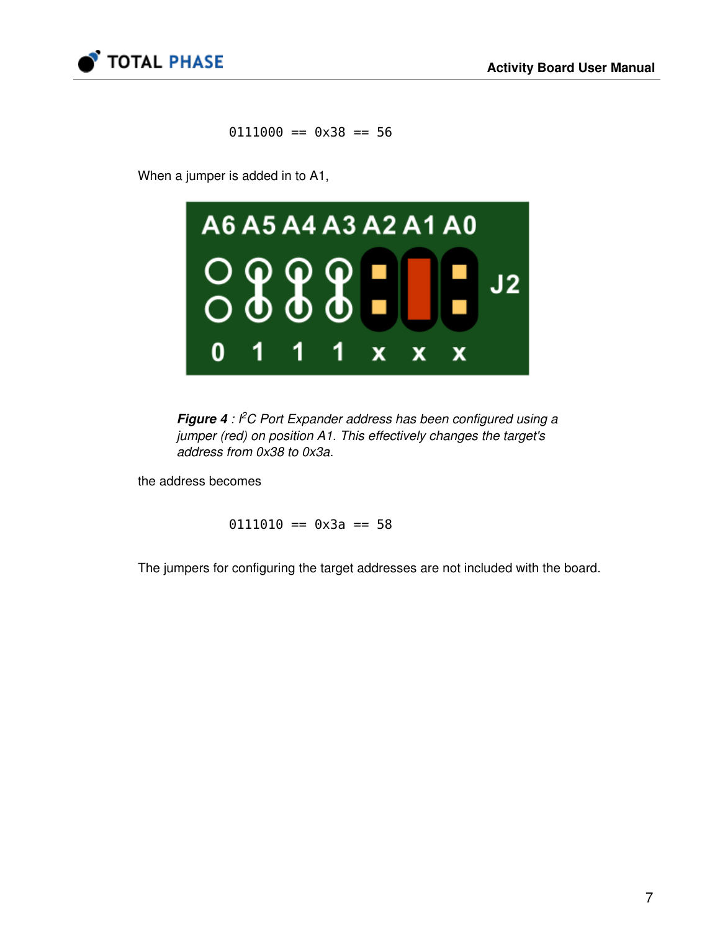

 $0111000 == 0 \times 38 == 56$ 

When a jumper is added in to A1,



Figure  $4$  :  ${}^{\rho}$ C Port Expander address has been configured using a jumper (red) on position A1. This effectively changes the target's address from 0x38 to 0x3a.

the address becomes

 $0111010 == 0 \times 3a == 58$ 

The jumpers for configuring the target addresses are not included with the board.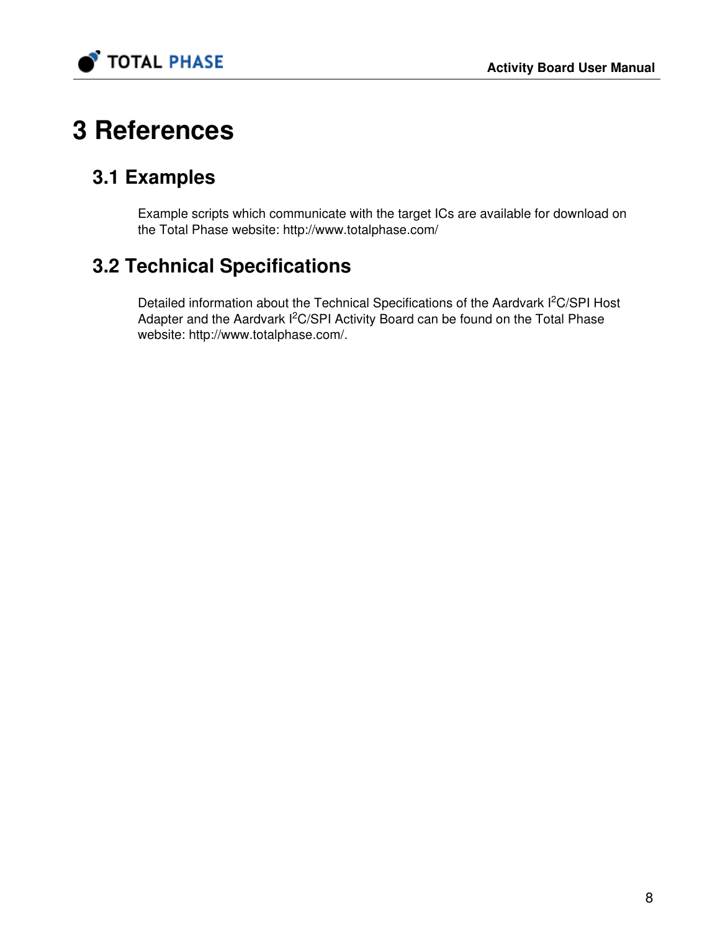

# 3 References

# 3.1 Examples

Example scripts which communicate with the target ICs are available for download on the Total Phase website: <http://www.totalphase.com/>

# 3.2 Technical Specifications

Detailed information about the Technical Specifications of the Aardvark I<sup>2</sup>C/SPI Host Adapter and the Aardvark I<sup>2</sup>C/SPI Activity Board can be found on the Total Phase website: [http://www.totalphase.com/.](http://www.totalphase.com/)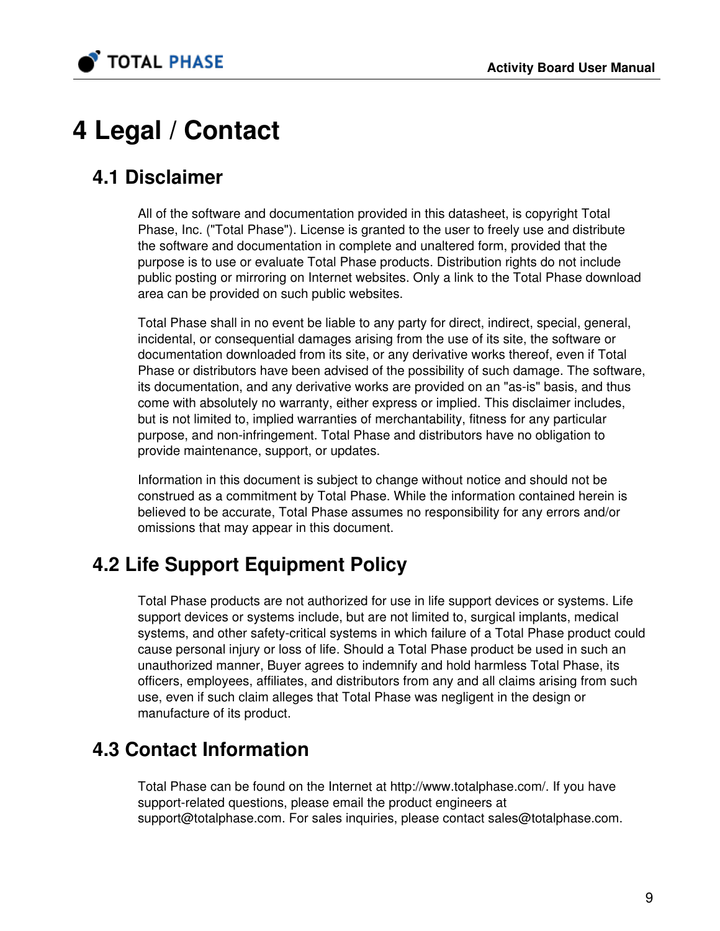

# 4 Legal / Contact

# 4.1 Disclaimer

All of the software and documentation provided in this datasheet, is copyright Total Phase, Inc. ("Total Phase"). License is granted to the user to freely use and distribute the software and documentation in complete and unaltered form, provided that the purpose is to use or evaluate Total Phase products. Distribution rights do not include public posting or mirroring on Internet websites. Only a link to the Total Phase download area can be provided on such public websites.

Total Phase shall in no event be liable to any party for direct, indirect, special, general, incidental, or consequential damages arising from the use of its site, the software or documentation downloaded from its site, or any derivative works thereof, even if Total Phase or distributors have been advised of the possibility of such damage. The software, its documentation, and any derivative works are provided on an "as-is" basis, and thus come with absolutely no warranty, either express or implied. This disclaimer includes, but is not limited to, implied warranties of merchantability, fitness for any particular purpose, and non-infringement. Total Phase and distributors have no obligation to provide maintenance, support, or updates.

Information in this document is subject to change without notice and should not be construed as a commitment by Total Phase. While the information contained herein is believed to be accurate, Total Phase assumes no responsibility for any errors and/or omissions that may appear in this document.

# 4.2 Life Support Equipment Policy

Total Phase products are not authorized for use in life support devices or systems. Life support devices or systems include, but are not limited to, surgical implants, medical systems, and other safety-critical systems in which failure of a Total Phase product could cause personal injury or loss of life. Should a Total Phase product be used in such an unauthorized manner, Buyer agrees to indemnify and hold harmless Total Phase, its officers, employees, affiliates, and distributors from any and all claims arising from such use, even if such claim alleges that Total Phase was negligent in the design or manufacture of its product.

# 4.3 Contact Information

Total Phase can be found on the Internet at <http://www.totalphase.com/>. If you have support-related questions, please email the product engineers at [support@totalphase.com.](mailto:support@totalphase.com) For sales inquiries, please contact [sales@totalphase.com.](mailto:sales@totalphase.com)